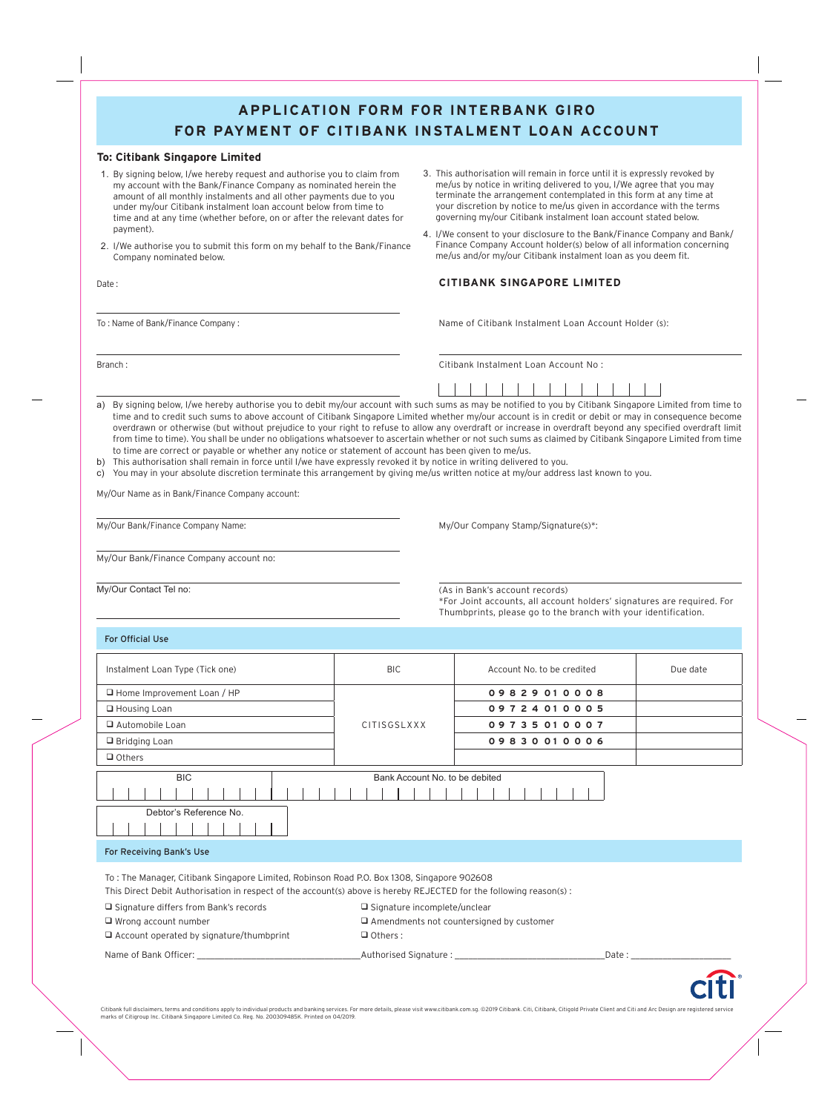### **APPLICATION FORM FOR INTERBANK GIRO FOR PAYMENT OF CITIBANK INSTALMENT LOAN ACCOUNT**

### **To: Citibank Singapore Limited**

- 1. By signing below, I/we hereby request and authorise you to claim from my account with the Bank/Finance Company as nominated herein the amount of all monthly instalments and all other payments due to you under my/our Citibank instalment loan account below from time to time and at any time (whether before, on or after the relevant dates for payment).
- 2. I/We authorise you to submit this form on my behalf to the Bank/Finance Company nominated below.

- 3. This authorisation will remain in force until it is expressly revoked by me/us by notice in writing delivered to you, I/We agree that you may terminate the arrangement contemplated in this form at any time at your discretion by notice to me/us given in accordance with the terms governing my/our Citibank instalment loan account stated below.
- 4. I/We consent to your disclosure to the Bank/Finance Company and Bank/ Finance Company Account holder(s) below of all information concerning me/us and/or my/our Citibank instalment loan as you deem fit.

### Date : **CITIBANK SINGAPORE LIMITED**

To: Name of Bank/Finance Company: Name of Citibank Instalment Loan Account Holder (s):

Branch : Citibank Instalment Loan Account No :

|                                                                                                                                                            |  |  |  |  | , , , , , , , , , , , , , , , |  |
|------------------------------------------------------------------------------------------------------------------------------------------------------------|--|--|--|--|-------------------------------|--|
| a) By signing below, I/we hereby authorise you to debit my/our account with such sums as may be notified to you by Citibank Singapore Limited from time to |  |  |  |  |                               |  |
| time and to credit such sums to above account of Citibank Singanore Limited whether my/our account is in credit or debit or may in consequence become      |  |  |  |  |                               |  |

time and to credit such sums to above account of Citibank Singapore Limited whether my/our account is in credit or debit or may in consequence become overdrawn or otherwise (but without prejudice to your right to refuse to allow any overdraft or increase in overdraft beyond any specified overdraft limit from time to time). You shall be under no obligations whatsoever to ascertain whether or not such sums as claimed by Citibank Singapore Limited from time to time are correct or payable or whether any notice or statement of account has been given to me/us.

- b) This authorisation shall remain in force until I/we have expressly revoked it by notice in writing delivered to you.
- c) You may in your absolute discretion terminate this arrangement by giving me/us written notice at my/our address last known to you.

My/Our Name as in Bank/Finance Company account:

My/Our Bank/Finance Company Name: My/Our Company Stamp/Signature(s)\*:

My/Our Bank/Finance Company account no:

My/Our Contact Tel no: (As in Bank's account records) \*For Joint accounts, all account holders' signatures are required. For Thumbprints, please go to the branch with your identification.

For Official Use

| Instalment Loan Type (Tick one) | <b>BIC</b>                     | Account No. to be credited | Due date |
|---------------------------------|--------------------------------|----------------------------|----------|
| □ Home Improvement Loan / HP    |                                | 09829010008                |          |
| $\Box$ Housing Loan             |                                | 09724010005                |          |
| Automobile Loan                 | CITISGSLXXX                    | 09735010007                |          |
| $\Box$ Bridging Loan            |                                | 09830010006                |          |
| $\Box$ Others                   |                                |                            |          |
| <b>BIC</b>                      | Bank Account No. to be debited |                            |          |
|                                 |                                |                            |          |
| Debtor's Reference No.          |                                |                            |          |
| For Receiving Bank's Use        |                                |                            |          |

To : The Manager, Citibank Singapore Limited, Robinson Road P.O. Box 1308, Singapore 902608 This Direct Debit Authorisation in respect of the account(s) above is hereby REJECTED for the following reason(s) :

| $\Box$ Signature differs from Bank's records    | $\Box$ Signature incomplete/unclear             |       |  |  |  |  |
|-------------------------------------------------|-------------------------------------------------|-------|--|--|--|--|
| $\Box$ Wrong account number                     | $\Box$ Amendments not countersigned by customer |       |  |  |  |  |
| $\Box$ Account operated by signature/thumbprint | $\Box$ Others :                                 |       |  |  |  |  |
| Name of Bank Officer:                           | Authorised Signature:                           | Date: |  |  |  |  |

Citibank full disclaimers, terms and conditions apply to individual products and banking services. For more details, please visit www.citibank.com.sg. ©2019 Citibank. Citi, Citibank, Citigold Private Client and Citi and Ar